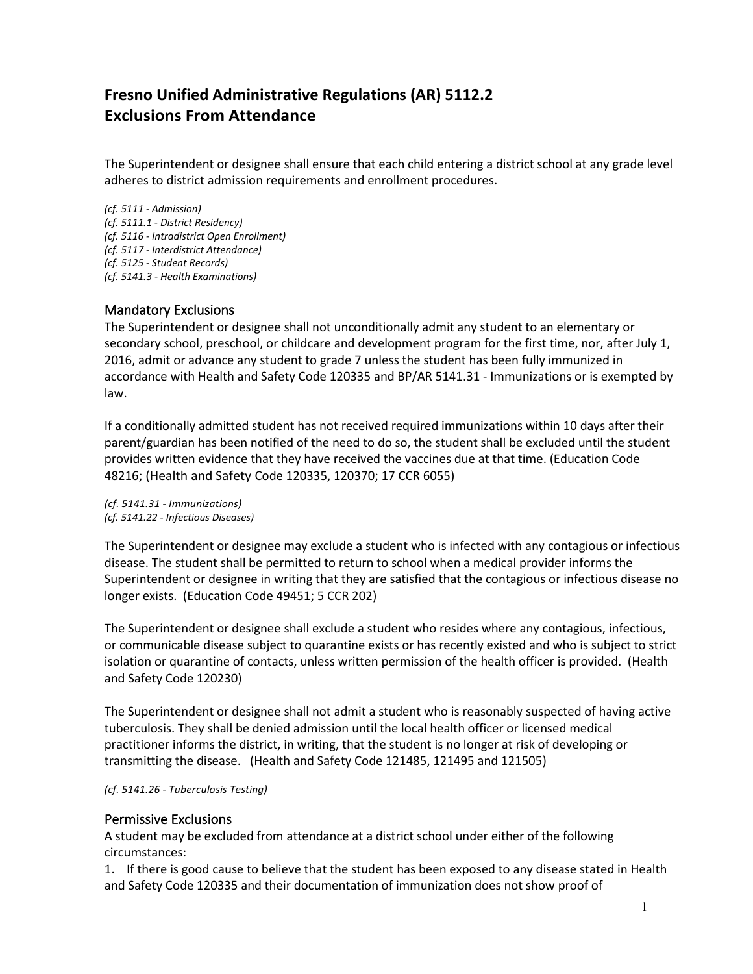# **Fresno Unified Administrative Regulations (AR) 5112.2 Exclusions From Attendance**

The Superintendent or designee shall ensure that each child entering a district school at any grade level adheres to district admission requirements and enrollment procedures.

*(cf. 5111 - Admission) (cf. 5111.1 - District Residency) (cf. 5116 - Intradistrict Open Enrollment) (cf. 5117 - Interdistrict Attendance) (cf. 5125 - Student Records) (cf. 5141.3 - Health Examinations)*

## Mandatory Exclusions

The Superintendent or designee shall not unconditionally admit any student to an elementary or secondary school, preschool, or childcare and development program for the first time, nor, after July 1, 2016, admit or advance any student to grade 7 unless the student has been fully immunized in accordance with Health and Safety Code 120335 and BP/AR 5141.31 - Immunizations or is exempted by law.

If a conditionally admitted student has not received required immunizations within 10 days after their parent/guardian has been notified of the need to do so, the student shall be excluded until the student provides written evidence that they have received the vaccines due at that time. (Education Code 48216; (Health and Safety Code 120335, 120370; 17 CCR 6055)

*(cf. 5141.31 - Immunizations) (cf. 5141.22 - Infectious Diseases)*

The Superintendent or designee may exclude a student who is infected with any contagious or infectious disease. The student shall be permitted to return to school when a medical provider informs the Superintendent or designee in writing that they are satisfied that the contagious or infectious disease no longer exists. (Education Code 49451; 5 CCR 202)

The Superintendent or designee shall exclude a student who resides where any contagious, infectious, or communicable disease subject to quarantine exists or has recently existed and who is subject to strict isolation or quarantine of contacts, unless written permission of the health officer is provided. (Health and Safety Code 120230)

The Superintendent or designee shall not admit a student who is reasonably suspected of having active tuberculosis. They shall be denied admission until the local health officer or licensed medical practitioner informs the district, in writing, that the student is no longer at risk of developing or transmitting the disease. (Health and Safety Code 121485, 121495 and 121505)

*(cf. 5141.26 - Tuberculosis Testing)*

## Permissive Exclusions

A student may be excluded from attendance at a district school under either of the following circumstances:

1. If there is good cause to believe that the student has been exposed to any disease stated in Health and Safety Code 120335 and their documentation of immunization does not show proof of